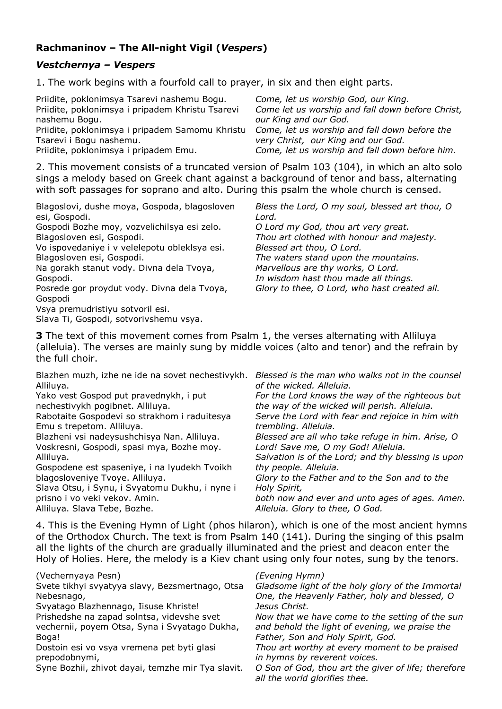# **Rachmaninov – The All-night Vigil (***Vespers***)**

## *Vestchernya – Vespers*

1. The work begins with a fourfold call to prayer, in six and then eight parts.

| Priidite, poklonimsya Tsarevi nashemu Bogu.      | Come, let us worship God, our King.              |
|--------------------------------------------------|--------------------------------------------------|
| Priidite, poklonimsya i pripadem Khristu Tsarevi | Come let us worship and fall down before Christ, |
| nashemu Bogu.                                    | our King and our God.                            |
| Priidite, poklonimsya i pripadem Samomu Khristu  | Come, let us worship and fall down before the    |
| Tsarevi i Bogu nashemu.                          | very Christ, our King and our God.               |
| Priidite, poklonimsya i pripadem Emu.            | Come, let us worship and fall down before him.   |

2. This movement consists of a truncated version of Psalm 103 (104), in which an alto solo sings a melody based on Greek chant against a background of tenor and bass, alternating with soft passages for soprano and alto. During this psalm the whole church is censed.

| Blagoslovi, dushe moya, Gospoda, blagosloven  | Bless the Lord, O my soul, blessed art thou, O |
|-----------------------------------------------|------------------------------------------------|
| esi, Gospodi.                                 | Lord.                                          |
|                                               |                                                |
| Gospodi Bozhe moy, vozvelichilsya esi zelo.   | O Lord my God, thou art very great.            |
| Blagosloven esi, Gospodi.                     | Thou art clothed with honour and majesty.      |
| Vo ispovedaniye i v velelepotu obleklsya esi. | Blessed art thou, O Lord.                      |
| Blagosloven esi, Gospodi.                     | The waters stand upon the mountains.           |
| Na gorakh stanut vody. Divna dela Tvoya,      | Marvellous are thy works, O Lord.              |
| Gospodi.                                      | In wisdom hast thou made all things.           |
| Posrede gor proydut vody. Divna dela Tvoya,   | Glory to thee, O Lord, who hast created all.   |
| Gospodi                                       |                                                |
| Vsya premudristiyu sotvoril esi.              |                                                |
| Slava Ti, Gospodi, sotvorivshemu vsya.        |                                                |

**3** The text of this movement comes from Psalm 1, the verses alternating with Alliluya (alleluia). The verses are mainly sung by middle voices (alto and tenor) and the refrain by the full choir.

| Blazhen muzh, izhe ne ide na sovet nechestivykh.<br>Alliluya. | Blessed is the man who walks not in the counsel<br>of the wicked. Alleluia. |
|---------------------------------------------------------------|-----------------------------------------------------------------------------|
| Yako vest Gospod put pravednykh, i put                        | For the Lord knows the way of the righteous but                             |
| nechestivykh pogibnet. Alliluya.                              | the way of the wicked will perish. Alleluia.                                |
| Rabotaite Gospodevi so strakhom i raduitesya                  | Serve the Lord with fear and rejoice in him with                            |
| Emu s trepetom. Alliluya.                                     | trembling. Alleluia.                                                        |
| Blazheni vsi nadeysushchisya Nan. Alliluya.                   | Blessed are all who take refuge in him. Arise, O                            |
| Voskresni, Gospodi, spasi mya, Bozhe moy.                     | Lord! Save me, O my God! Alleluia.                                          |
| Alliluya.                                                     | Salvation is of the Lord; and thy blessing is upon                          |
| Gospodene est spaseniye, i na lyudekh Tvoikh                  | thy people. Alleluia.                                                       |
| blagosloveniye Tvoye. Alliluya.                               | Glory to the Father and to the Son and to the                               |
| Slava Otsu, i Synu, i Svyatomu Dukhu, i nyne i                | Holy Spirit,                                                                |
| prisno i vo veki vekov. Amin.                                 | both now and ever and unto ages of ages. Amen.                              |
| Alliluya. Slava Tebe, Bozhe.                                  | Alleluia. Glory to thee, O God.                                             |

4. This is the Evening Hymn of Light (phos hilaron), which is one of the most ancient hymns of the Orthodox Church. The text is from Psalm 140 (141). During the singing of this psalm all the lights of the church are gradually illuminated and the priest and deacon enter the Holy of Holies. Here, the melody is a Kiev chant using only four notes, sung by the tenors.

| (Vechernyaya Pesn)<br>Svete tikhyi svyatyya slavy, Bezsmertnago, Otsa<br>Nebesnago,<br>Svyatago Blazhennago, Iisuse Khriste!<br>Prishedshe na zapad solntsa, videvshe svet<br>vechernii, poyem Otsa, Syna i Svyatago Dukha,<br>Boga!<br>Dostoin esi vo vsya vremena pet byti glasi<br>prepodobnymi,<br>Syne Bozhii, zhivot dayai, temzhe mir Tya slavit. | (Evening Hymn)<br>Gladsome light of the holy glory of the Immortal<br>One, the Heavenly Father, holy and blessed, O<br>Jesus Christ.<br>Now that we have come to the setting of the sun<br>and behold the light of evening, we praise the<br>Father, Son and Holy Spirit, God.<br>Thou art worthy at every moment to be praised<br>in hymns by reverent voices.<br>O Son of God, thou art the giver of life; therefore<br>all the world glorifies thee. |
|----------------------------------------------------------------------------------------------------------------------------------------------------------------------------------------------------------------------------------------------------------------------------------------------------------------------------------------------------------|---------------------------------------------------------------------------------------------------------------------------------------------------------------------------------------------------------------------------------------------------------------------------------------------------------------------------------------------------------------------------------------------------------------------------------------------------------|
|----------------------------------------------------------------------------------------------------------------------------------------------------------------------------------------------------------------------------------------------------------------------------------------------------------------------------------------------------------|---------------------------------------------------------------------------------------------------------------------------------------------------------------------------------------------------------------------------------------------------------------------------------------------------------------------------------------------------------------------------------------------------------------------------------------------------------|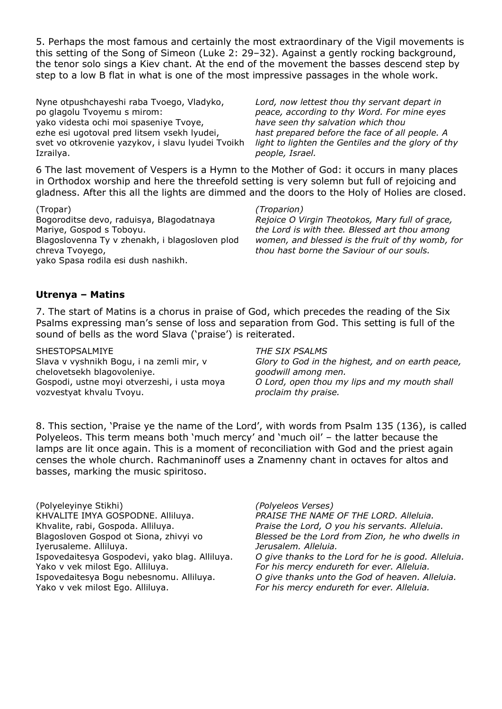5. Perhaps the most famous and certainly the most extraordinary of the Vigil movements is this setting of the Song of Simeon (Luke 2: 29–32). Against a gently rocking background, the tenor solo sings a Kiev chant. At the end of the movement the basses descend step by step to a low B flat in what is one of the most impressive passages in the whole work.

Nyne otpushchayeshi raba Tvoego, Vladyko, po glagolu Tvoyemu s mirom: yako videsta ochi moi spaseniye Tvoye, ezhe esi ugotoval pred litsem vsekh lyudei, svet vo otkrovenie yazykov, i slavu lyudei Tvoikh Izrailya.

*Lord, now lettest thou thy servant depart in peace, according to thy Word. For mine eyes have seen thy salvation which thou hast prepared before the face of all people. A light to lighten the Gentiles and the glory of thy people, Israel.*

6 The last movement of Vespers is a Hymn to the Mother of God: it occurs in many places in Orthodox worship and here the threefold setting is very solemn but full of rejoicing and gladness. After this all the lights are dimmed and the doors to the Holy of Holies are closed.

(Tropar) Bogoroditse devo, raduisya, Blagodatnaya Mariye, Gospod s Toboyu. Blagoslovenna Ty v zhenakh, i blagosloven plod chreva Tvoyego, yako Spasa rodila esi dush nashikh.

#### *(Troparion)*

*Rejoice O Virgin Theotokos, Mary full of grace, the Lord is with thee. Blessed art thou among women, and blessed is the fruit of thy womb, for thou hast borne the Saviour of our souls.*

### **Utrenya – Matins**

7. The start of Matins is a chorus in praise of God, which precedes the reading of the Six Psalms expressing man's sense of loss and separation from God. This setting is full of the sound of bells as the word Slava ('praise') is reiterated.

SHESTOPSALMIYE Slava v vyshnikh Bogu, i na zemli mir, v chelovetsekh blagovoleniye. Gospodi, ustne moyi otverzeshi, i usta moya vozvestyat khvalu Tvoyu.

#### *THE SIX PSALMS*

*Glory to God in the highest, and on earth peace, goodwill among men. O Lord, open thou my lips and my mouth shall proclaim thy praise.*

8. This section, 'Praise ye the name of the Lord', with words from Psalm 135 (136), is called Polyeleos. This term means both 'much mercy' and 'much oil' – the latter because the lamps are lit once again. This is a moment of reconciliation with God and the priest again censes the whole church. Rachmaninoff uses a Znamenny chant in octaves for altos and basses, marking the music spiritoso.

(Polyeleyinye Stikhi) KHVALITE IMYA GOSPODNE. Alliluya. Khvalite, rabi, Gospoda. Alliluya. Blagosloven Gospod ot Siona, zhivyi vo Iyerusaleme. Alliluya. Ispovedaitesya Gospodevi, yako blag. Alliluya. Yako v vek milost Ego. Alliluya. Ispovedaitesya Bogu nebesnomu. Alliluya. Yako v vek milost Ego. Alliluya.

*(Polyeleos Verses) PRAISE THE NAME OF THE LORD. Alleluia. Praise the Lord, O you his servants. Alleluia. Blessed be the Lord from Zion, he who dwells in Jerusalem. Alleluia. O give thanks to the Lord for he is good. Alleluia. For his mercy endureth for ever. Alleluia. O give thanks unto the God of heaven. Alleluia. For his mercy endureth for ever. Alleluia.*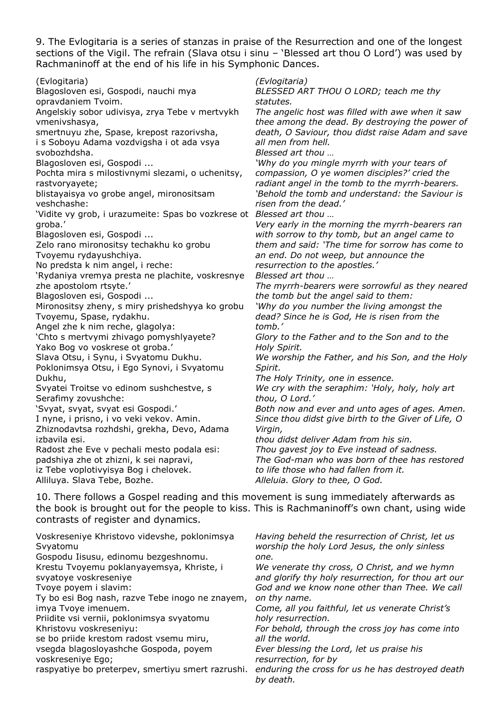9. The Evlogitaria is a series of stanzas in praise of the Resurrection and one of the longest sections of the Vigil. The refrain (Slava otsu i sinu – 'Blessed art thou O Lord') was used by Rachmaninoff at the end of his life in his Symphonic Dances.

(Evlogitaria) Blagosloven esi, Gospodi, nauchi mya opravdaniem Tvoim. Angelskiy sobor udivisya, zrya Tebe v mertvykh vmenivshasya, smertnuyu zhe, Spase, krepost razorivsha, i s Soboyu Adama vozdvigsha i ot ada vsya svobozhdsha. Blagosloven esi, Gospodi ... Pochta mira s milostivnymi slezami, o uchenitsy, rastvoryayete; blistayaisya vo grobe angel, mironositsam veshchashe: 'Vidite vy grob, i urazumeite: Spas bo vozkrese ot *Blessed art thou …* groba.' Blagosloven esi, Gospodi ... Zelo rano mironositsy techakhu ko grobu Tvoyemu rydayushchiya. No predsta k nim angel, i reche: 'Rydaniya vremya presta ne plachite, voskresnye zhe apostolom rtsyte.' Blagosloven esi, Gospodi ... Mironositsy zheny, s miry prishedshyya ko grobu Tvoyemu, Spase, rydakhu. Angel zhe k nim reche, glagolya: 'Chto s mertvymi zhivago pomyshlyayete? Yako Bog vo voskrese ot groba.' Slava Otsu, i Synu, i Svyatomu Dukhu. Poklonimsya Otsu, i Ego Synovi, i Svyatomu Dukhu, Svyatei Troitse vo edinom sushchestve, s Serafimy zovushche: 'Svyat, svyat, svyat esi Gospodi.' I nyne, i prisno, i vo veki vekov. Amin. Zhiznodavtsa rozhdshi, grekha, Devo, Adama izbavila esi. Radost zhe Eve v pechali mesto podala esi: padshiya zhe ot zhizni, k sei napravi, iz Tebe voplotivyisya Bog i chelovek. Alliluya. Slava Tebe, Bozhe.

*(Evlogitaria) BLESSED ART THOU O LORD; teach me thy statutes. The angelic host was filled with awe when it saw thee among the dead. By destroying the power of death, O Saviour, thou didst raise Adam and save all men from hell. Blessed art thou … 'Why do you mingle myrrh with your tears of compassion, O ye women disciples?' cried the radiant angel in the tomb to the myrrh-bearers. 'Behold the tomb and understand: the Saviour is risen from the dead.' Very early in the morning the myrrh-bearers ran with sorrow to thy tomb, but an angel came to them and said: 'The time for sorrow has come to an end. Do not weep, but announce the resurrection to the apostles.' Blessed art thou … The myrrh-bearers were sorrowful as they neared the tomb but the angel said to them: 'Why do you number the living amongst the dead? Since he is God, He is risen from the tomb.' Glory to the Father and to the Son and to the Holy Spirit. We worship the Father, and his Son, and the Holy Spirit. The Holy Trinity, one in essence. We cry with the seraphim: 'Holy, holy, holy art thou, O Lord.' Both now and ever and unto ages of ages. Amen. Since thou didst give birth to the Giver of Life, O Virgin, thou didst deliver Adam from his sin. Thou gavest joy to Eve instead of sadness. The God-man who was born of thee has restored to life those who had fallen from it.*

*Alleluia. Glory to thee, O God.*

10. There follows a Gospel reading and this movement is sung immediately afterwards as the book is brought out for the people to kiss. This is Rachmaninoff's own chant, using wide contrasts of register and dynamics.

| Voskreseniye Khristovo videvshe, poklonimsya<br>Svyatomu<br>Gospodu Iisusu, edinomu bezgeshnomu.<br>Krestu Tvoyemu poklanyayemsya, Khriste, i<br>svyatoye voskreseniye<br>Tvoye poyem i slavim:<br>Ty bo esi Bog nash, razve Tebe inogo ne znayem,<br>imya Tvoye imenuem.<br>Priidite vsi vernii, poklonimsya svyatomu<br>Khristovu voskreseniyu:<br>se bo priide krestom radost vsemu miru,<br>vsegda blagoslovashche Gospoda, poyem<br>voskreseniye Ego;<br>raspyatiye bo preterpev, smertiyu smert razrushi. | Having beheld the resurrection of Christ, let us<br>worship the holy Lord Jesus, the only sinless<br>one.<br>We venerate thy cross, O Christ, and we hymn<br>and glorify thy holy resurrection, for thou art our<br>God and we know none other than Thee. We call<br>on thy name.<br>Come, all you faithful, let us venerate Christ's<br>holy resurrection.<br>For behold, through the cross joy has come into<br>all the world.<br>Ever blessing the Lord, let us praise his<br>resurrection, for by<br>enduring the cross for us he has destroyed death<br>by death. |
|-----------------------------------------------------------------------------------------------------------------------------------------------------------------------------------------------------------------------------------------------------------------------------------------------------------------------------------------------------------------------------------------------------------------------------------------------------------------------------------------------------------------|------------------------------------------------------------------------------------------------------------------------------------------------------------------------------------------------------------------------------------------------------------------------------------------------------------------------------------------------------------------------------------------------------------------------------------------------------------------------------------------------------------------------------------------------------------------------|
|-----------------------------------------------------------------------------------------------------------------------------------------------------------------------------------------------------------------------------------------------------------------------------------------------------------------------------------------------------------------------------------------------------------------------------------------------------------------------------------------------------------------|------------------------------------------------------------------------------------------------------------------------------------------------------------------------------------------------------------------------------------------------------------------------------------------------------------------------------------------------------------------------------------------------------------------------------------------------------------------------------------------------------------------------------------------------------------------------|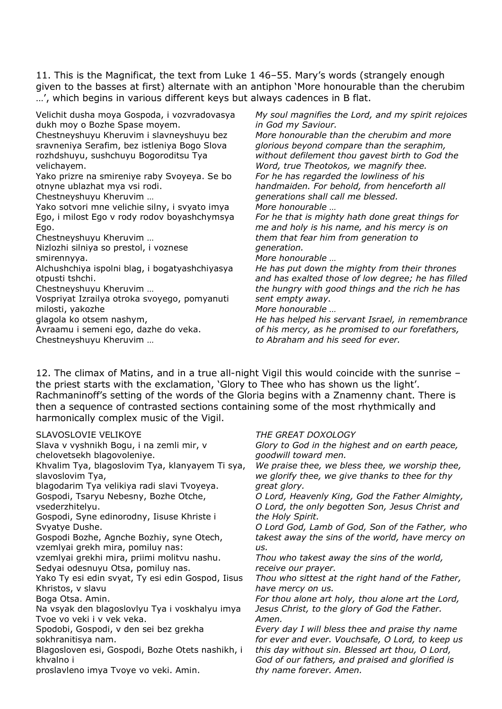11. This is the Magnificat, the text from Luke 1 46–55. Mary's words (strangely enough given to the basses at first) alternate with an antiphon 'More honourable than the cherubim …', which begins in various different keys but always cadences in B flat.

Velichit dusha moya Gospoda, i vozvradovasya dukh moy o Bozhe Spase moyem.

Chestneyshuyu Kheruvim i slavneyshuyu bez sravneniya Serafim, bez istleniya Bogo Slova rozhdshuyu, sushchuyu Bogoroditsu Tya velichayem.

Yako prizre na smireniye raby Svoyeya. Se bo otnyne ublazhat mya vsi rodi.

Chestneyshuyu Kheruvim …

Yako sotvori mne velichie silny, i svyato imya Ego, i milost Ego v rody rodov boyashchymsya Ego.

Chestneyshuyu Kheruvim …

Nizlozhi silniya so prestol, i voznese smirennyya.

Alchushchiya ispolni blag, i bogatyashchiyasya otpusti tshchi.

Chestneyshuyu Kheruvim …

Vospriyat Izrailya otroka svoyego, pomyanuti milosti, yakozhe

glagola ko otsem nashym,

Avraamu i semeni ego, dazhe do veka. Chestneyshuyu Kheruvim …

*My soul magnifies the Lord, and my spirit rejoices in God my Saviour.*

*More honourable than the cherubim and more glorious beyond compare than the seraphim, without defilement thou gavest birth to God the Word, true Theotokos, we magnify thee. For he has regarded the lowliness of his handmaiden. For behold, from henceforth all generations shall call me blessed. More honourable …*

*For he that is mighty hath done great things for me and holy is his name, and his mercy is on them that fear him from generation to generation.*

*More honourable …*

*He has put down the mighty from their thrones and has exalted those of low degree; he has filled the hungry with good things and the rich he has sent empty away.*

*More honourable …*

*He has helped his servant Israel, in remembrance of his mercy, as he promised to our forefathers, to Abraham and his seed for ever.*

12. The climax of Matins, and in a true all-night Vigil this would coincide with the sunrise – the priest starts with the exclamation, 'Glory to Thee who has shown us the light'. Rachmaninoff's setting of the words of the Gloria begins with a Znamenny chant. There is then a sequence of contrasted sections containing some of the most rhythmically and harmonically complex music of the Vigil.

| SLAVOSLOVIE VELIKOYE                              | THE GREAT DOXOLOGY                                |
|---------------------------------------------------|---------------------------------------------------|
| Slava v vyshnikh Bogu, i na zemli mir, v          | Glory to God in the highest and on earth peace,   |
| chelovetsekh blagovoleniye.                       | goodwill toward men.                              |
| Khvalim Tya, blagoslovim Tya, klanyayem Ti sya,   | We praise thee, we bless thee, we worship thee,   |
| slavoslovim Tya,                                  | we glorify thee, we give thanks to thee for thy   |
| blagodarim Tya velikiya radi slavi Tvoyeya.       | great glory.                                      |
| Gospodi, Tsaryu Nebesny, Bozhe Otche,             | O Lord, Heavenly King, God the Father Almighty,   |
| vsederzhitelyu.                                   | O Lord, the only begotten Son, Jesus Christ and   |
| Gospodi, Syne edinorodny, Iisuse Khriste i        | the Holy Spirit.                                  |
| Svyatye Dushe.                                    | O Lord God, Lamb of God, Son of the Father, who   |
| Gospodi Bozhe, Agnche Bozhiy, syne Otech,         | takest away the sins of the world, have mercy on  |
| vzemlyai grekh mira, pomiluy nas:                 | US.                                               |
| vzemlyai grekhi mira, priimi molitvu nashu.       | Thou who takest away the sins of the world,       |
| Sedyai odesnuyu Otsa, pomiluy nas.                | receive our prayer.                               |
| Yako Ty esi edin svyat, Ty esi edin Gospod, Iisus | Thou who sittest at the right hand of the Father, |
| Khristos, v slavu                                 | have mercy on us.                                 |
| Boga Otsa. Amin.                                  | For thou alone art holy, thou alone art the Lord, |
| Na vsyak den blagoslovlyu Tya i voskhalyu imya    | Jesus Christ, to the glory of God the Father.     |
| Tvoe vo veki i v vek veka.                        | Amen.                                             |
| Spodobi, Gospodi, v den sei bez grekha            | Every day I will bless thee and praise thy name   |
| sokhranitisya nam.                                | for ever and ever. Vouchsafe, O Lord, to keep us  |
| Blagosloven esi, Gospodi, Bozhe Otets nashikh, i  | this day without sin. Blessed art thou, O Lord,   |
| khvalno i                                         | God of our fathers, and praised and glorified is  |
| proslavleno imya Tvoye vo veki. Amin.             | thy name forever. Amen.                           |
|                                                   |                                                   |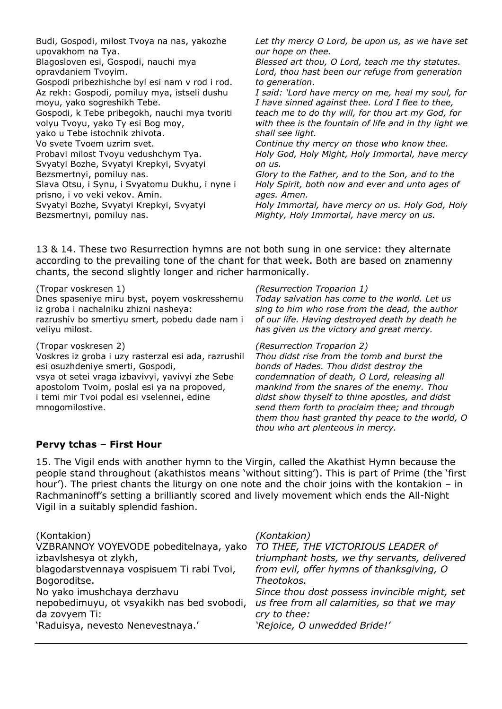| Budi, Gospodi, milost Tvoya na nas, yakozhe<br>upovakhom na Tya. | Let thy mercy O Lord, be upon us, as we have set<br>our hope on thee. |
|------------------------------------------------------------------|-----------------------------------------------------------------------|
| Blagosloven esi, Gospodi, nauchi mya                             | Blessed art thou, O Lord, teach me thy statutes.                      |
| opravdaniem Tvoyim.                                              | Lord, thou hast been our refuge from generation                       |
| Gospodi pribezhishche byl esi nam v rod i rod.                   | to generation.                                                        |
| Az rekh: Gospodi, pomiluy mya, istseli dushu                     | I said: 'Lord have mercy on me, heal my soul, for                     |
| moyu, yako sogreshikh Tebe.                                      | I have sinned against thee. Lord I flee to thee,                      |
| Gospodi, k Tebe pribegokh, nauchi mya tvoriti                    | teach me to do thy will, for thou art my God, for                     |
| volyu Tvoyu, yako Ty esi Bog moy,                                | with thee is the fountain of life and in thy light we                 |
| yako u Tebe istochnik zhivota.                                   | shall see light.                                                      |
| Vo svete Tvoem uzrim svet.                                       | Continue thy mercy on those who know thee.                            |
| Probavi milost Tvoyu vedushchym Tya.                             | Holy God, Holy Might, Holy Immortal, have mercy                       |
| Svyatyi Bozhe, Svyatyi Krepkyi, Svyatyi                          | on us.                                                                |
| Bezsmertnyi, pomiluy nas.                                        | Glory to the Father, and to the Son, and to the                       |
| Slava Otsu, i Synu, i Svyatomu Dukhu, i nyne i                   | Holy Spirit, both now and ever and unto ages of                       |
| prisno, i vo veki vekov. Amin.                                   | ages. Amen.                                                           |
| Svyatyi Bozhe, Svyatyi Krepkyi, Svyatyi                          | Holy Immortal, have mercy on us. Holy God, Holy                       |
| Bezsmertnyi, pomiluy nas.                                        | Mighty, Holy Immortal, have mercy on us.                              |
|                                                                  |                                                                       |

13 & 14. These two Resurrection hymns are not both sung in one service: they alternate according to the prevailing tone of the chant for that week. Both are based on znamenny chants, the second slightly longer and richer harmonically.

(Tropar voskresen 1) Dnes spaseniye miru byst, poyem voskresshemu iz groba i nachalniku zhizni nasheya: razrushiv bo smertiyu smert, pobedu dade nam i veliyu milost.

(Tropar voskresen 2)

Voskres iz groba i uzy rasterzal esi ada, razrushil esi osuzhdeniye smerti, Gospodi,

vsya ot setei vraga izbavivyi, yavivyi zhe Sebe apostolom Tvoim, poslal esi ya na propoved, i temi mir Tvoi podal esi vselennei, edine mnogomilostive.

*(Resurrection Troparion 1)*

*Today salvation has come to the world. Let us sing to him who rose from the dead, the author of our life. Having destroyed death by death he has given us the victory and great mercy.*

#### *(Resurrection Troparion 2)*

*Thou didst rise from the tomb and burst the bonds of Hades. Thou didst destroy the condemnation of death, O Lord, releasing all mankind from the snares of the enemy. Thou didst show thyself to thine apostles, and didst send them forth to proclaim thee; and through them thou hast granted thy peace to the world, O thou who art plenteous in mercy.*

### **Pervy tchas – First Hour**

15. The Vigil ends with another hymn to the Virgin, called the Akathist Hymn because the people stand throughout (akathistos means 'without sitting'). This is part of Prime (the 'first hour'). The priest chants the liturgy on one note and the choir joins with the kontakion – in Rachmaninoff's setting a brilliantly scored and lively movement which ends the All-Night Vigil in a suitably splendid fashion.

| (Kontakion)                                | (Kontakion)                                   |
|--------------------------------------------|-----------------------------------------------|
| VZBRANNOY VOYEVODE pobeditelnaya, yako     | TO THEE, THE VICTORIOUS LEADER of             |
| izbavlshesya ot zlykh,                     | triumphant hosts, we thy servants, delivered  |
| blagodarstvennaya vospisuem Ti rabi Tvoi,  | from evil, offer hymns of thanksgiving, O     |
| Bogoroditse.                               | Theotokos.                                    |
| No yako imushchaya derzhavu                | Since thou dost possess invincible might, set |
| nepobedimuyu, ot vsyakikh nas bed svobodi, | us free from all calamities, so that we may   |
| da zovyem Ti:                              | cry to thee:                                  |
| 'Raduisya, nevesto Nenevestnaya.'          | 'Rejoice, O unwedded Bride!'                  |